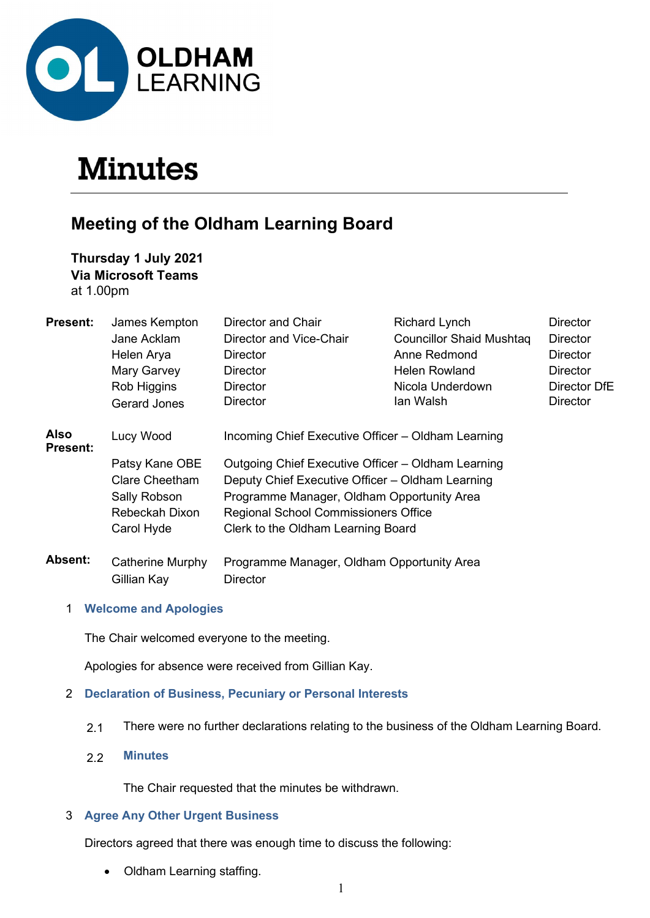

# **Minutes**

# Meeting of the Oldham Learning Board

Thursday 1 July 2021 Via Microsoft Teams

at 1.00pm

| <b>Present:</b>         | James Kempton           | Director and Chair                                 | <b>Richard Lynch</b>            | Director        |  |
|-------------------------|-------------------------|----------------------------------------------------|---------------------------------|-----------------|--|
|                         | Jane Acklam             | Director and Vice-Chair                            | <b>Councillor Shaid Mushtag</b> | <b>Director</b> |  |
|                         | Helen Arya              | Director                                           | Anne Redmond                    | <b>Director</b> |  |
|                         | Mary Garvey             | Director                                           | <b>Helen Rowland</b>            | <b>Director</b> |  |
|                         | Rob Higgins             | <b>Director</b>                                    | Nicola Underdown                | Director DfE    |  |
|                         | Gerard Jones            | <b>Director</b>                                    | lan Walsh                       | <b>Director</b> |  |
| Also<br><b>Present:</b> | Lucy Wood               | Incoming Chief Executive Officer - Oldham Learning |                                 |                 |  |
|                         | Patsy Kane OBE          | Outgoing Chief Executive Officer – Oldham Learning |                                 |                 |  |
|                         | Clare Cheetham          | Deputy Chief Executive Officer – Oldham Learning   |                                 |                 |  |
|                         | Sally Robson            | Programme Manager, Oldham Opportunity Area         |                                 |                 |  |
|                         | Rebeckah Dixon          | <b>Regional School Commissioners Office</b>        |                                 |                 |  |
|                         | Carol Hyde              | Clerk to the Oldham Learning Board                 |                                 |                 |  |
| <b>Absent:</b>          | <b>Catherine Murphy</b> | Programme Manager, Oldham Opportunity Area         |                                 |                 |  |
|                         | Gillian Kay             | <b>Director</b>                                    |                                 |                 |  |

1 Welcome and Apologies

The Chair welcomed everyone to the meeting.

Apologies for absence were received from Gillian Kay.

# 2 Declaration of Business, Pecuniary or Personal Interests

- 2.1 There were no further declarations relating to the business of the Oldham Learning Board.
- 2.2 Minutes

The Chair requested that the minutes be withdrawn.

# 3 Agree Any Other Urgent Business

Directors agreed that there was enough time to discuss the following:

• Oldham Learning staffing.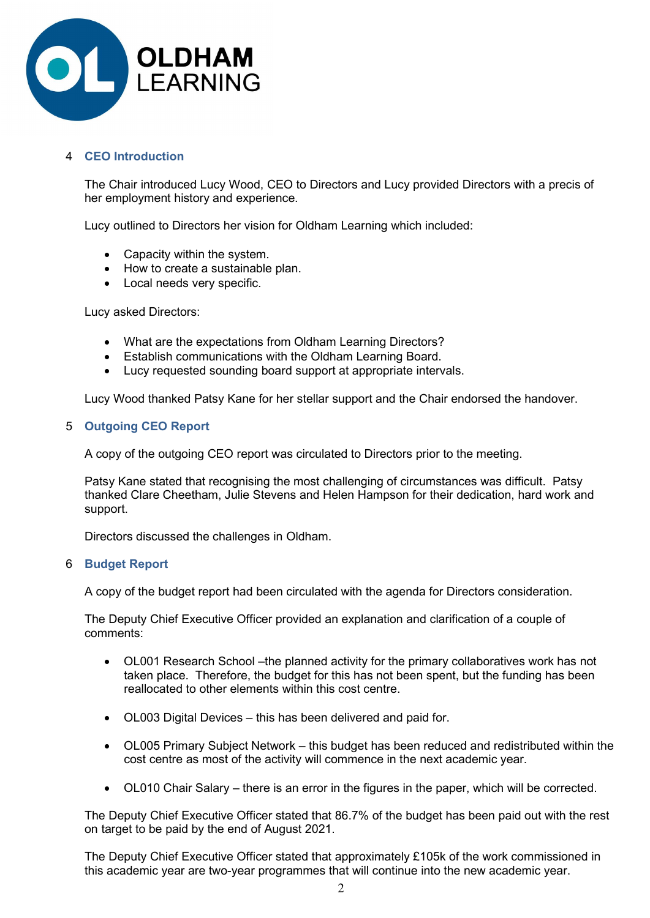

# 4 CEO Introduction

 The Chair introduced Lucy Wood, CEO to Directors and Lucy provided Directors with a precis of her employment history and experience.

Lucy outlined to Directors her vision for Oldham Learning which included:

- Capacity within the system.
- How to create a sustainable plan.
- Local needs very specific.

Lucy asked Directors:

- What are the expectations from Oldham Learning Directors?
- Establish communications with the Oldham Learning Board.
- Lucy requested sounding board support at appropriate intervals.

Lucy Wood thanked Patsy Kane for her stellar support and the Chair endorsed the handover.

# 5 Outgoing CEO Report

A copy of the outgoing CEO report was circulated to Directors prior to the meeting.

Patsy Kane stated that recognising the most challenging of circumstances was difficult. Patsy thanked Clare Cheetham, Julie Stevens and Helen Hampson for their dedication, hard work and support.

Directors discussed the challenges in Oldham.

#### 6 Budget Report

A copy of the budget report had been circulated with the agenda for Directors consideration.

The Deputy Chief Executive Officer provided an explanation and clarification of a couple of comments:

- OL001 Research School –the planned activity for the primary collaboratives work has not taken place. Therefore, the budget for this has not been spent, but the funding has been reallocated to other elements within this cost centre.
- OL003 Digital Devices this has been delivered and paid for.
- OL005 Primary Subject Network this budget has been reduced and redistributed within the cost centre as most of the activity will commence in the next academic year.
- OL010 Chair Salary there is an error in the figures in the paper, which will be corrected.

The Deputy Chief Executive Officer stated that 86.7% of the budget has been paid out with the rest on target to be paid by the end of August 2021.

The Deputy Chief Executive Officer stated that approximately £105k of the work commissioned in this academic year are two-year programmes that will continue into the new academic year.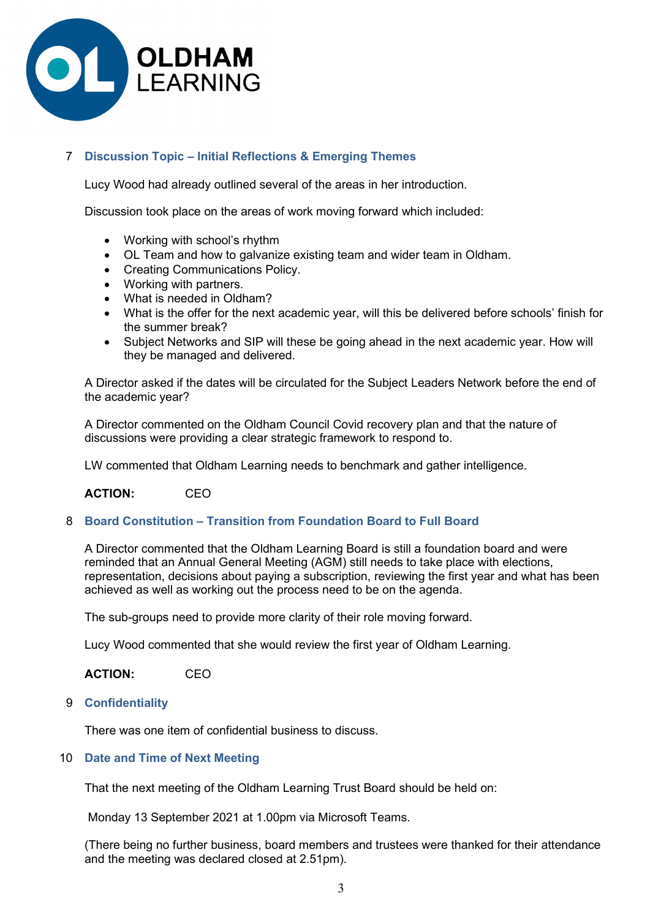

# 7 Discussion Topic – Initial Reflections & Emerging Themes

Lucy Wood had already outlined several of the areas in her introduction.

Discussion took place on the areas of work moving forward which included:

- Working with school's rhythm
- OL Team and how to galvanize existing team and wider team in Oldham.
- Creating Communications Policy.
- Working with partners.
- What is needed in Oldham?
- What is the offer for the next academic year, will this be delivered before schools' finish for the summer break?
- Subject Networks and SIP will these be going ahead in the next academic year. How will they be managed and delivered.

A Director asked if the dates will be circulated for the Subject Leaders Network before the end of the academic year?

A Director commented on the Oldham Council Covid recovery plan and that the nature of discussions were providing a clear strategic framework to respond to.

LW commented that Oldham Learning needs to benchmark and gather intelligence.

ACTION: CEO

# 8 Board Constitution – Transition from Foundation Board to Full Board

 A Director commented that the Oldham Learning Board is still a foundation board and were reminded that an Annual General Meeting (AGM) still needs to take place with elections, representation, decisions about paying a subscription, reviewing the first year and what has been achieved as well as working out the process need to be on the agenda.

The sub-groups need to provide more clarity of their role moving forward.

Lucy Wood commented that she would review the first year of Oldham Learning.

ACTION: CEO

# 9 Confidentiality

There was one item of confidential business to discuss.

# 10 Date and Time of Next Meeting

That the next meeting of the Oldham Learning Trust Board should be held on:

Monday 13 September 2021 at 1.00pm via Microsoft Teams.

 (There being no further business, board members and trustees were thanked for their attendance and the meeting was declared closed at 2.51pm).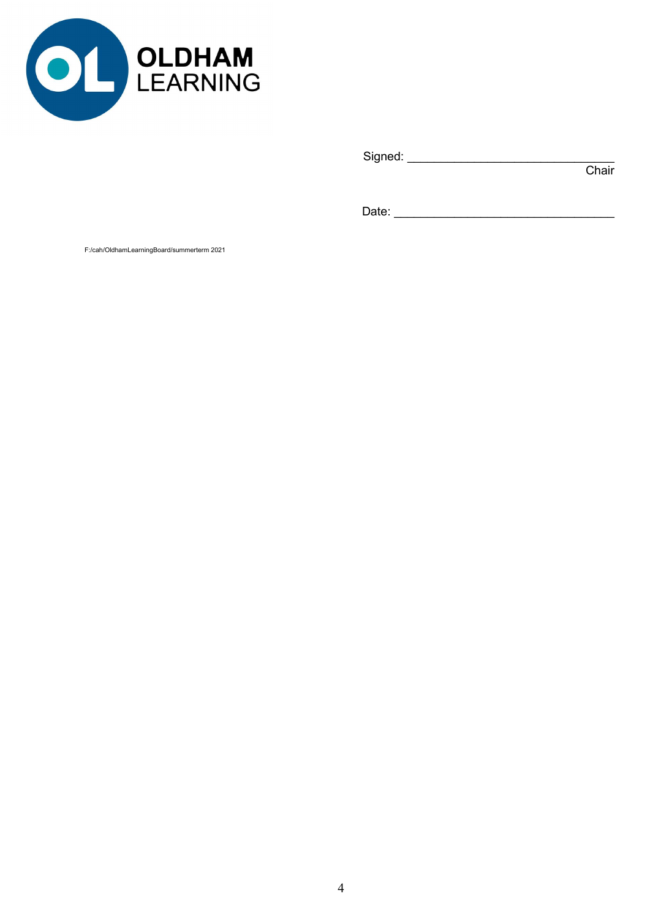

Signed: \_\_\_\_\_\_\_\_\_\_\_\_\_\_\_\_\_\_\_\_\_\_\_\_\_\_\_\_\_\_\_

in the contract of the contract of the contract of the contract of the contract of the contract of the contract of the contract of the contract of the contract of the contract of the contract of the contract of the contrac

Date: \_\_\_\_\_\_\_\_\_\_\_\_\_\_\_\_\_\_\_\_\_\_\_\_\_\_\_\_\_\_\_\_\_

F:/cah/OldhamLearningBoard/summerterm 2021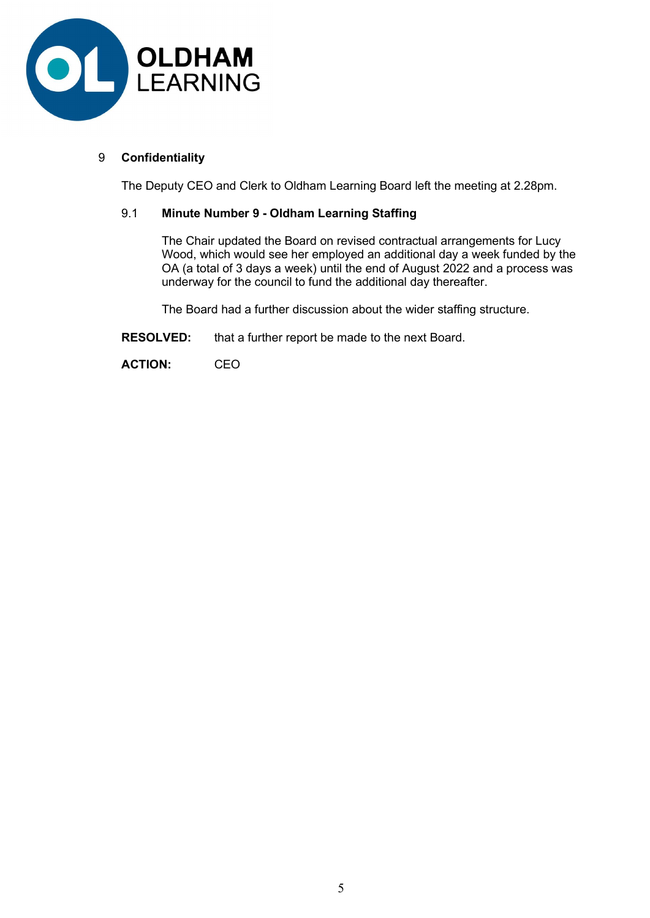

# 9 Confidentiality

The Deputy CEO and Clerk to Oldham Learning Board left the meeting at 2.28pm.

# 9.1 Minute Number 9 - Oldham Learning Staffing

The Chair updated the Board on revised contractual arrangements for Lucy Wood, which would see her employed an additional day a week funded by the OA (a total of 3 days a week) until the end of August 2022 and a process was underway for the council to fund the additional day thereafter.

The Board had a further discussion about the wider staffing structure.

RESOLVED: that a further report be made to the next Board.

ACTION: CEO